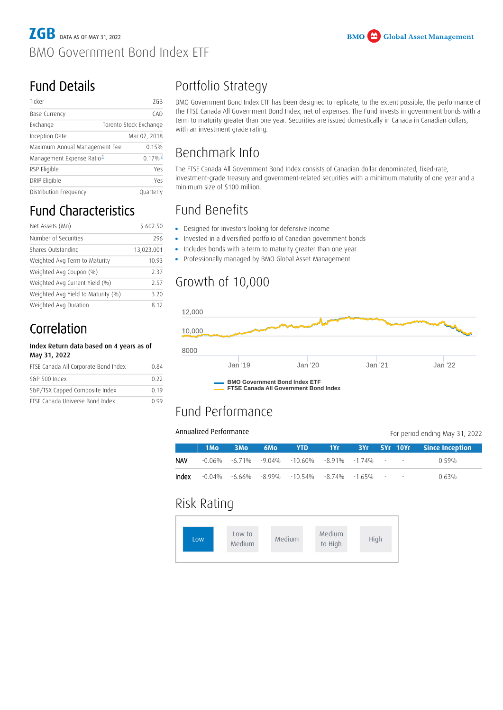### Fund Details

| Ticker                                | 7GB                    |  |  |  |
|---------------------------------------|------------------------|--|--|--|
| Base Currency                         | CAD                    |  |  |  |
| Exchange                              | Toronto Stock Exchange |  |  |  |
| Inception Date                        | Mar 02, 2018           |  |  |  |
| Maximum Annual Management Fee         | 0.15%                  |  |  |  |
| Management Expense Ratio <sup>1</sup> | $0.17\%$ <sup>2</sup>  |  |  |  |
| RSP Eligible                          | Yes                    |  |  |  |
| DRIP Eligible                         | Yes                    |  |  |  |
| Distribution Frequency                | Quarterly              |  |  |  |

## Fund Characteristics

| Net Assets (Mn)                    | \$602.50   |  |  |
|------------------------------------|------------|--|--|
| Number of Securities               | 296        |  |  |
| Shares Outstanding                 | 13,023,001 |  |  |
| Weighted Avg Term to Maturity      | 10.93      |  |  |
| Weighted Avg Coupon (%)            | 2.37       |  |  |
| Weighted Avg Current Yield (%)     | 2.57       |  |  |
| Weighted Avg Yield to Maturity (%) | 3.20       |  |  |
| Weighted Avg Duration              | 8.12       |  |  |

### Correlation

#### Index Return data based on 4 years as of May 31, 2022

| FTSE Canada All Corporate Bond Index | 0.84  |  |
|--------------------------------------|-------|--|
| S&P 500 Index                        | 0.22  |  |
| S&P/TSX Capped Composite Index       | 0.19  |  |
| FTSE Canada Universe Bond Index      | O 9 0 |  |

# Portfolio Strategy

BMO Government Bond Index ETF has been designed to replicate, to the extent possible, the performance of the FTSE Canada All Government Bond Index, net of expenses. The Fund invests in government bonds with a term to maturity greater than one year. Securities are issued domestically in Canada in Canadian dollars, with an investment grade rating.

#### Benchmark Info

<span id="page-0-1"></span><span id="page-0-0"></span>The FTSE Canada All Government Bond Index consists of Canadian dollar denominated, fixed-rate, investment-grade treasury and government-related securities with a minimum maturity of one year and a minimum size of \$100 million.

## Fund Benefits

- Designed for investors looking for defensive income
- Invested in a diversified portfolio of Canadian government bonds
- Includes bonds with a term to maturity greater than one year
- Includes bonds with a term to maturity greater than one ye<br>• Professionally managed by BMO Global Asset Management •

## Growth of 10,000



**FTSE Canada All Government Bond Index**

#### Fund Performance

#### Annualized Performance

For period ending May 31, 2022

|            | 1M <sub>o</sub> | 3Mo | <b>6Mo</b> |                                                                  |  |  |       |
|------------|-----------------|-----|------------|------------------------------------------------------------------|--|--|-------|
| <b>NAV</b> |                 |     |            | $-0.06\%$ $-6.71\%$ $-9.04\%$ $-10.60\%$ $-8.91\%$ $-1.74\%$ $-$ |  |  | 0 59% |
| Index      |                 |     |            | $-0.04\%$ $-6.66\%$ $-8.99\%$ $-10.54\%$ $-8.74\%$ $-1.65\%$ $-$ |  |  | 0.63% |

#### Risk Rating